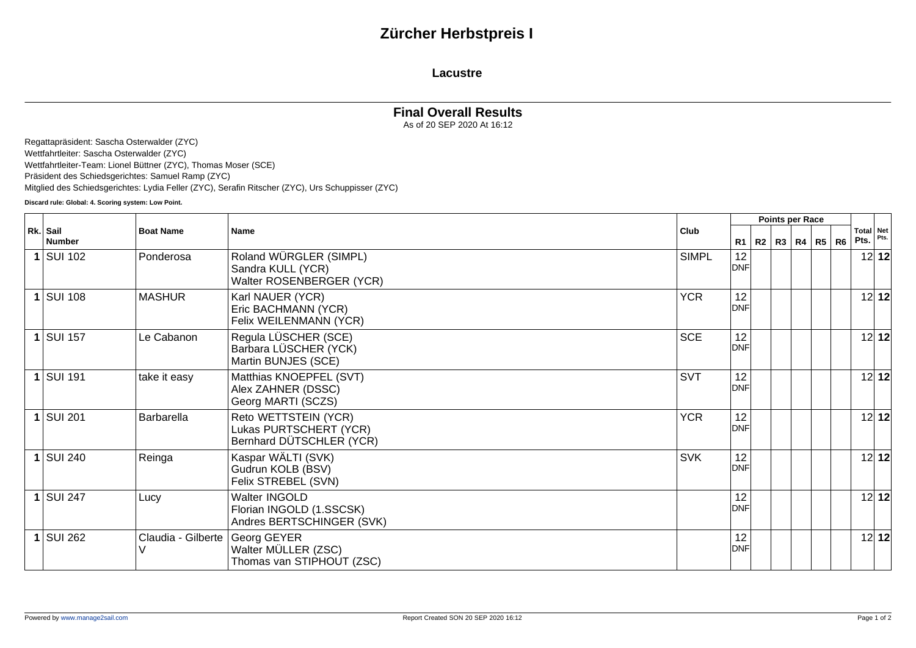## **Zürcher Herbstpreis I**

### **Lacustre**

### **Final Overall Results**

As of 20 SEP 2020 At 16:12

Regattapräsident: Sascha Osterwalder (ZYC) Wettfahrtleiter: Sascha Osterwalder (ZYC) Wettfahrtleiter-Team: Lionel Büttner (ZYC), Thomas Moser (SCE) Präsident des Schiedsgerichtes: Samuel Ramp (ZYC) Mitglied des Schiedsgerichtes: Lydia Feller (ZYC), Serafin Ritscher (ZYC), Urs Schuppisser (ZYC)

**Discard rule: Global: 4. Scoring system: Low Point.**

| Rk. Sail<br><b>Number</b> |                    | Name                                                                       | Club         | Points per Race  |  |  |                   |  |                |      |                   |
|---------------------------|--------------------|----------------------------------------------------------------------------|--------------|------------------|--|--|-------------------|--|----------------|------|-------------------|
|                           | <b>Boat Name</b>   |                                                                            |              | R1               |  |  | R2   R3   R4   R5 |  | R <sub>6</sub> | Pts. | Total Net<br>Pts. |
| $1$ SUI 102               | Ponderosa          | Roland WÜRGLER (SIMPL)<br>Sandra KULL (YCR)<br>Walter ROSENBERGER (YCR)    | <b>SIMPL</b> | 12<br><b>DNF</b> |  |  |                   |  |                |      | 12 12             |
| $1$ SUI 108               | <b>MASHUR</b>      | Karl NAUER (YCR)<br>Eric BACHMANN (YCR)<br>Felix WEILENMANN (YCR)          | <b>YCR</b>   | 12<br><b>DNF</b> |  |  |                   |  |                |      | 12 12             |
| $1$ SUI 157               | Le Cabanon         | Regula LÜSCHER (SCE)<br>Barbara LÜSCHER (YCK)<br>Martin BUNJES (SCE)       | <b>SCE</b>   | 12<br><b>DNF</b> |  |  |                   |  |                |      | 12 12             |
| $1$ SUI 191               | take it easy       | Matthias KNOEPFEL (SVT)<br>Alex ZAHNER (DSSC)<br>Georg MARTI (SCZS)        | <b>SVT</b>   | 12<br><b>DNF</b> |  |  |                   |  |                |      | 12 12             |
| $1$ SUI 201               | <b>Barbarella</b>  | Reto WETTSTEIN (YCR)<br>Lukas PURTSCHERT (YCR)<br>Bernhard DÜTSCHLER (YCR) | <b>YCR</b>   | 12<br><b>DNF</b> |  |  |                   |  |                |      | 12 12             |
| $1$ SUI 240               | Reinga             | Kaspar WÄLTI (SVK)<br>Gudrun KOLB (BSV)<br>Felix STREBEL (SVN)             | <b>SVK</b>   | 12<br><b>DNF</b> |  |  |                   |  |                |      | 12 12             |
| $1$ SUI 247               | Lucy               | Walter INGOLD<br>Florian INGOLD (1.SSCSK)<br>Andres BERTSCHINGER (SVK)     |              | 12<br><b>DNF</b> |  |  |                   |  |                |      | 12 12             |
| $1$ SUI 262               | Claudia - Gilberte | Georg GEYER<br>Walter MÜLLER (ZSC)<br>Thomas van STIPHOUT (ZSC)            |              | 12<br><b>DNF</b> |  |  |                   |  |                |      | 12 12             |